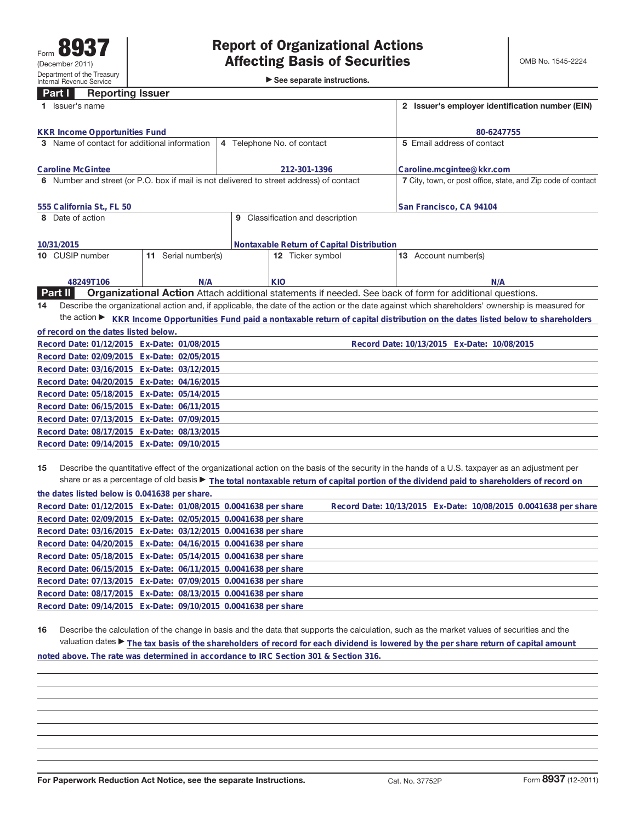See separate instructions.

## **Part I Reporting Issuer**

| 1 Issuer's name                                                                         | 2 Issuer's employer identification number (EIN) |                                           |                                                                                                                                                 |  |  |
|-----------------------------------------------------------------------------------------|-------------------------------------------------|-------------------------------------------|-------------------------------------------------------------------------------------------------------------------------------------------------|--|--|
| <b>KKR Income Opportunities Fund</b>                                                    |                                                 |                                           | 80-6247755                                                                                                                                      |  |  |
| 3 Name of contact for additional information                                            |                                                 | 4 Telephone No. of contact                | 5 Email address of contact                                                                                                                      |  |  |
| <b>Caroline McGintee</b>                                                                |                                                 | 212-301-1396                              | Caroline.mcgintee@kkr.com                                                                                                                       |  |  |
| 6 Number and street (or P.O. box if mail is not delivered to street address) of contact |                                                 |                                           | 7 City, town, or post office, state, and Zip code of contact                                                                                    |  |  |
| 555 California St., FL 50                                                               |                                                 |                                           | San Francisco, CA 94104                                                                                                                         |  |  |
| 8 Date of action                                                                        |                                                 | 9 Classification and description          |                                                                                                                                                 |  |  |
| 10/31/2015                                                                              |                                                 | Nontaxable Return of Capital Distribution |                                                                                                                                                 |  |  |
| 11 Serial number(s)<br>10 CUSIP number                                                  |                                                 | 12 Ticker symbol                          | 13 Account number(s)                                                                                                                            |  |  |
| 48249T106                                                                               | N/A                                             | KIO                                       | N/A                                                                                                                                             |  |  |
| Part II                                                                                 |                                                 |                                           | <b>Organizational Action</b> Attach additional statements if needed. See back of form for additional questions.                                 |  |  |
| 14                                                                                      |                                                 |                                           | Describe the organizational action and, if applicable, the date of the action or the date against which shareholders' ownership is measured for |  |  |
| the action $\blacktriangleright$                                                        |                                                 |                                           | KKR Income Opportunities Fund paid a nontaxable return of capital distribution on the dates listed below to shareholders                        |  |  |
| of record on the dates listed below.                                                    |                                                 |                                           |                                                                                                                                                 |  |  |
| Record Date: 01/12/2015 Ex-Date: 01/08/2015                                             |                                                 |                                           | Record Date: 10/13/2015 Ex-Date: 10/08/2015                                                                                                     |  |  |
| Record Date: 02/09/2015 Ex-Date: 02/05/2015                                             |                                                 |                                           |                                                                                                                                                 |  |  |
| Record Date: 03/16/2015 Ex-Date: 03/12/2015                                             |                                                 |                                           |                                                                                                                                                 |  |  |
| Record Date: 04/20/2015 Ex-Date: 04/16/2015                                             |                                                 |                                           |                                                                                                                                                 |  |  |
| Record Date: 05/18/2015 Ex-Date: 05/14/2015                                             |                                                 |                                           |                                                                                                                                                 |  |  |
| Record Date: 06/15/2015 Ex-Date: 06/11/2015                                             |                                                 |                                           |                                                                                                                                                 |  |  |
| Record Date: 07/13/2015 Ex-Date: 07/09/2015                                             |                                                 |                                           |                                                                                                                                                 |  |  |
| Record Date: 08/17/2015 Ex-Date: 08/13/2015                                             |                                                 |                                           |                                                                                                                                                 |  |  |
| Record Date: 09/14/2015 Ex-Date: 09/10/2015                                             |                                                 |                                           |                                                                                                                                                 |  |  |
|                                                                                         |                                                 |                                           |                                                                                                                                                 |  |  |

**15** Describe the quantitative effect of the organizational action on the basis of the security in the hands of a U.S. taxpayer as an adjustment per share or as a percentage of old basis ▶ The total nontaxable return of capital portion of the dividend paid to shareholders of record on

|  | the dates listed below is 0.041638 per share. | Record Date: 01/12/2015 Ex-Date: 01/08/2015 0.0041638 per share<br>Record Date: 02/09/2015 Ex-Date: 02/05/2015 0.0041638 per share<br>Record Date: 03/16/2015 Ex-Date: 03/12/2015 0.0041638 per share<br>Record Date: 04/20/2015 Ex-Date: 04/16/2015 0.0041638 per share<br>Record Date: 05/18/2015 Ex-Date: 05/14/2015 0.0041638 per share<br>Record Date: 06/15/2015 Ex-Date: 06/11/2015 0.0041638 per share<br>Record Date: 07/13/2015 Ex-Date: 07/09/2015 0.0041638 per share<br>Record Date: 08/17/2015 Ex-Date: 08/13/2015 0.0041638 per share<br>Record Date: 09/14/2015 Ex-Date: 09/10/2015 0.0041638 per share |  | Record Date: 10/13/2015 Ex-Date: 10/08/2015 0.0041638 per share |
|--|-----------------------------------------------|-------------------------------------------------------------------------------------------------------------------------------------------------------------------------------------------------------------------------------------------------------------------------------------------------------------------------------------------------------------------------------------------------------------------------------------------------------------------------------------------------------------------------------------------------------------------------------------------------------------------------|--|-----------------------------------------------------------------|

**16** Describe the calculation of the change in basis and the data that supports the calculation, such as the market values of securities and the valuation dates ► The tax basis of the shareholders of record for each dividend is lowered by the per share return of capital amount

**noted above. The rate was determined in accordance to IRC Section 301 & Section 316.**